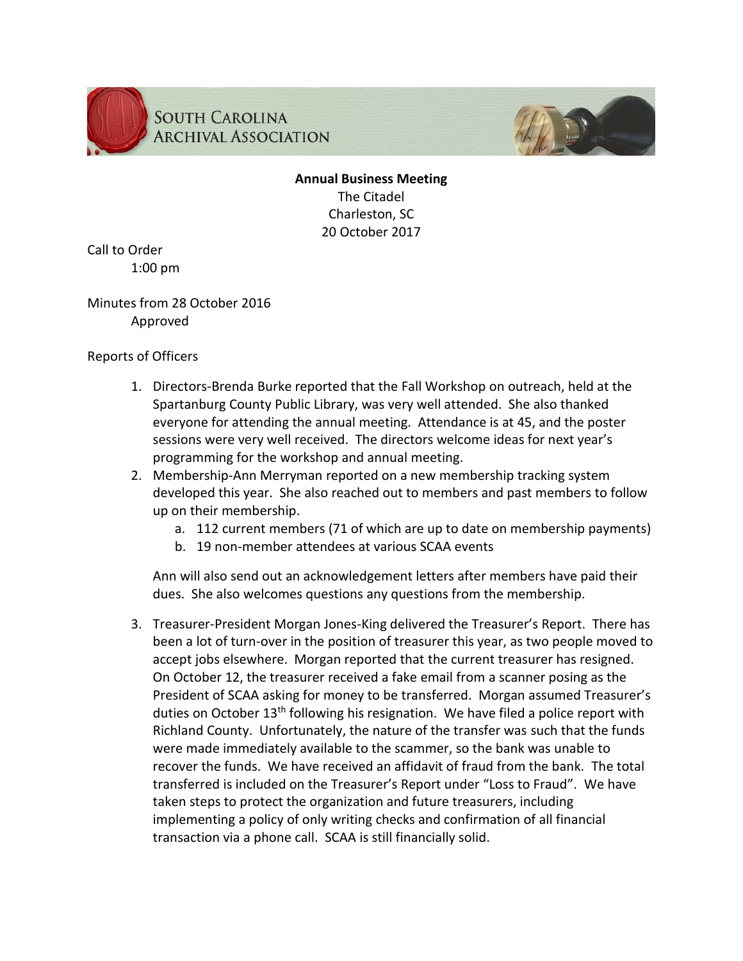



**Annual Business Meeting** The Citadel Charleston, SC 20 October 2017

Call to Order 1:00 pm

Minutes from 28 October 2016 Approved

## Reports of Officers

- 1. Directors-Brenda Burke reported that the Fall Workshop on outreach, held at the Spartanburg County Public Library, was very well attended. She also thanked everyone for attending the annual meeting. Attendance is at 45, and the poster sessions were very well received. The directors welcome ideas for next year's programming for the workshop and annual meeting.
- 2. Membership-Ann Merryman reported on a new membership tracking system developed this year. She also reached out to members and past members to follow up on their membership.
	- a. 112 current members (71 of which are up to date on membership payments)
	- b. 19 non-member attendees at various SCAA events

Ann will also send out an acknowledgement letters after members have paid their dues. She also welcomes questions any questions from the membership.

3. Treasurer-President Morgan Jones-King delivered the Treasurer's Report. There has been a lot of turn-over in the position of treasurer this year, as two people moved to accept jobs elsewhere. Morgan reported that the current treasurer has resigned. On October 12, the treasurer received a fake email from a scanner posing as the President of SCAA asking for money to be transferred. Morgan assumed Treasurer's duties on October 13<sup>th</sup> following his resignation. We have filed a police report with Richland County. Unfortunately, the nature of the transfer was such that the funds were made immediately available to the scammer, so the bank was unable to recover the funds. We have received an affidavit of fraud from the bank. The total transferred is included on the Treasurer's Report under "Loss to Fraud". We have taken steps to protect the organization and future treasurers, including implementing a policy of only writing checks and confirmation of all financial transaction via a phone call. SCAA is still financially solid.